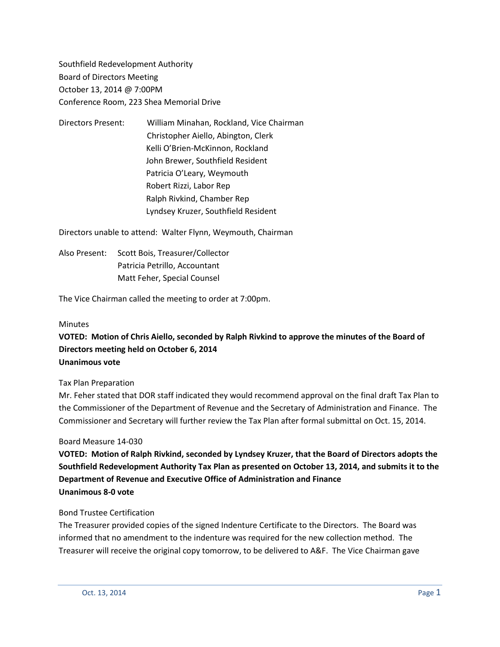Southfield Redevelopment Authority Board of Directors Meeting October 13, 2014 @ 7:00PM Conference Room, 223 Shea Memorial Drive

Directors Present: William Minahan, Rockland, Vice Chairman Christopher Aiello, Abington, Clerk Kelli O'Brien-McKinnon, Rockland John Brewer, Southfield Resident Patricia O'Leary, Weymouth Robert Rizzi, Labor Rep Ralph Rivkind, Chamber Rep Lyndsey Kruzer, Southfield Resident

Directors unable to attend: Walter Flynn, Weymouth, Chairman

Also Present: Scott Bois, Treasurer/Collector Patricia Petrillo, Accountant Matt Feher, Special Counsel

The Vice Chairman called the meeting to order at 7:00pm.

#### Minutes

**VOTED: Motion of Chris Aiello, seconded by Ralph Rivkind to approve the minutes of the Board of Directors meeting held on October 6, 2014 Unanimous vote**

Tax Plan Preparation

Mr. Feher stated that DOR staff indicated they would recommend approval on the final draft Tax Plan to the Commissioner of the Department of Revenue and the Secretary of Administration and Finance. The Commissioner and Secretary will further review the Tax Plan after formal submittal on Oct. 15, 2014.

#### Board Measure 14-030

**VOTED: Motion of Ralph Rivkind, seconded by Lyndsey Kruzer, that the Board of Directors adopts the Southfield Redevelopment Authority Tax Plan as presented on October 13, 2014, and submits it to the Department of Revenue and Executive Office of Administration and Finance Unanimous 8-0 vote**

#### Bond Trustee Certification

The Treasurer provided copies of the signed Indenture Certificate to the Directors. The Board was informed that no amendment to the indenture was required for the new collection method. The Treasurer will receive the original copy tomorrow, to be delivered to A&F. The Vice Chairman gave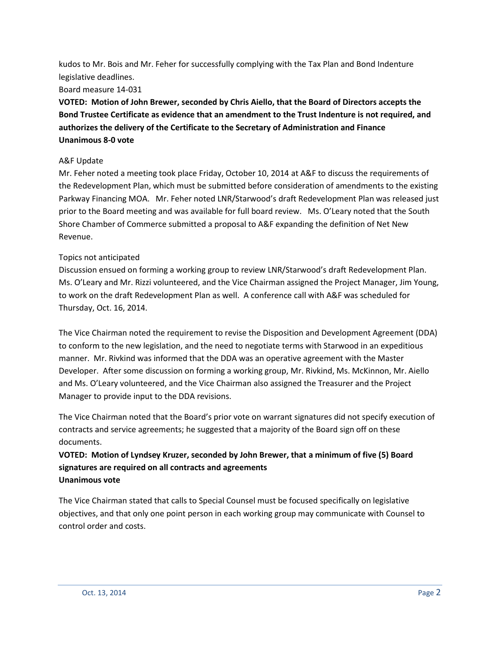kudos to Mr. Bois and Mr. Feher for successfully complying with the Tax Plan and Bond Indenture legislative deadlines.

#### Board measure 14-031

**VOTED: Motion of John Brewer, seconded by Chris Aiello, that the Board of Directors accepts the Bond Trustee Certificate as evidence that an amendment to the Trust Indenture is not required, and authorizes the delivery of the Certificate to the Secretary of Administration and Finance Unanimous 8-0 vote**

#### A&F Update

Mr. Feher noted a meeting took place Friday, October 10, 2014 at A&F to discuss the requirements of the Redevelopment Plan, which must be submitted before consideration of amendments to the existing Parkway Financing MOA. Mr. Feher noted LNR/Starwood's draft Redevelopment Plan was released just prior to the Board meeting and was available for full board review. Ms. O'Leary noted that the South Shore Chamber of Commerce submitted a proposal to A&F expanding the definition of Net New Revenue.

#### Topics not anticipated

Discussion ensued on forming a working group to review LNR/Starwood's draft Redevelopment Plan. Ms. O'Leary and Mr. Rizzi volunteered, and the Vice Chairman assigned the Project Manager, Jim Young, to work on the draft Redevelopment Plan as well. A conference call with A&F was scheduled for Thursday, Oct. 16, 2014.

The Vice Chairman noted the requirement to revise the Disposition and Development Agreement (DDA) to conform to the new legislation, and the need to negotiate terms with Starwood in an expeditious manner. Mr. Rivkind was informed that the DDA was an operative agreement with the Master Developer. After some discussion on forming a working group, Mr. Rivkind, Ms. McKinnon, Mr. Aiello and Ms. O'Leary volunteered, and the Vice Chairman also assigned the Treasurer and the Project Manager to provide input to the DDA revisions.

The Vice Chairman noted that the Board's prior vote on warrant signatures did not specify execution of contracts and service agreements; he suggested that a majority of the Board sign off on these documents.

### **VOTED: Motion of Lyndsey Kruzer, seconded by John Brewer, that a minimum of five (5) Board signatures are required on all contracts and agreements Unanimous vote**

The Vice Chairman stated that calls to Special Counsel must be focused specifically on legislative objectives, and that only one point person in each working group may communicate with Counsel to control order and costs.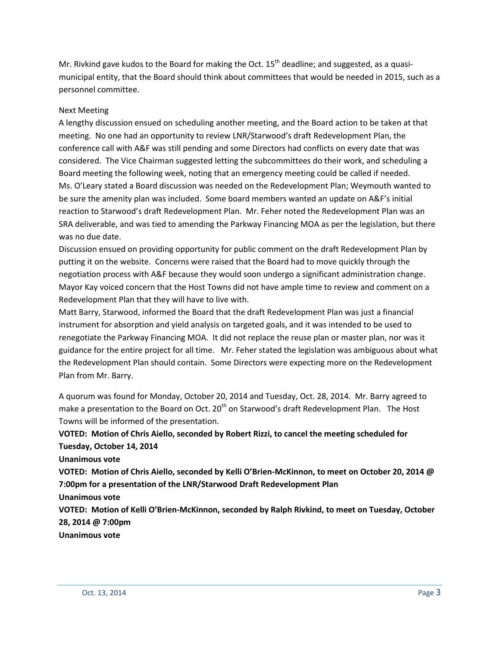Mr. Rivkind gave kudos to the Board for making the Oct.  $15<sup>th</sup>$  deadline; and suggested, as a quasimunicipal entity, that the Board should think about committees that would be needed in 2015, such as a personnel committee.

#### Next Meeting

A lengthy discussion ensued on scheduling another meeting, and the Board action to be taken at that meeting. No one had an opportunity to review LNR/Starwood's draft Redevelopment Plan, the conference call with A&F was still pending and some Directors had conflicts on every date that was considered. The Vice Chairman suggested letting the subcommittees do their work, and scheduling a Board meeting the following week, noting that an emergency meeting could be called if needed. Ms. O'Leary stated a Board discussion was needed on the Redevelopment Plan; Weymouth wanted to be sure the amenity plan was included. Some board members wanted an update on A&F's initial reaction to Starwood's draft Redevelopment Plan. Mr. Feher noted the Redevelopment Plan was an SRA deliverable, and was tied to amending the Parkway Financing MOA as per the legislation, but there was no due date.

Discussion ensued on providing opportunity for public comment on the draft Redevelopment Plan by putting it on the website. Concerns were raised that the Board had to move quickly through the negotiation process with A&F because they would soon undergo a significant administration change. Mayor Kay voiced concern that the Host Towns did not have ample time to review and comment on a Redevelopment Plan that they will have to live with.

Matt Barry, Starwood, informed the Board that the draft Redevelopment Plan was just a financial instrument for absorption and yield analysis on targeted goals, and it was intended to be used to renegotiate the Parkway Financing MOA. It did not replace the reuse plan or master plan, nor was it guidance for the entire project for all time. Mr. Feher stated the legislation was ambiguous about what the Redevelopment Plan should contain. Some Directors were expecting more on the Redevelopment Plan from Mr. Barry.

A quorum was found for Monday, October 20, 2014 and Tuesday, Oct. 28, 2014. Mr. Barry agreed to make a presentation to the Board on Oct. 20<sup>th</sup> on Starwood's draft Redevelopment Plan. The Host Towns will be informed of the presentation.

## **VOTED: Motion of Chris Aiello, seconded by Robert Rizzi, to cancel the meeting scheduled for Tuesday, October 14, 2014**

**Unanimous vote**

**VOTED: Motion of Chris Aiello, seconded by Kelli O'Brien-McKinnon, to meet on October 20, 2014 @ 7:00pm for a presentation of the LNR/Starwood Draft Redevelopment Plan** 

**Unanimous vote**

**VOTED: Motion of Kelli O'Brien-McKinnon, seconded by Ralph Rivkind, to meet on Tuesday, October 28, 2014 @ 7:00pm**

**Unanimous vote**